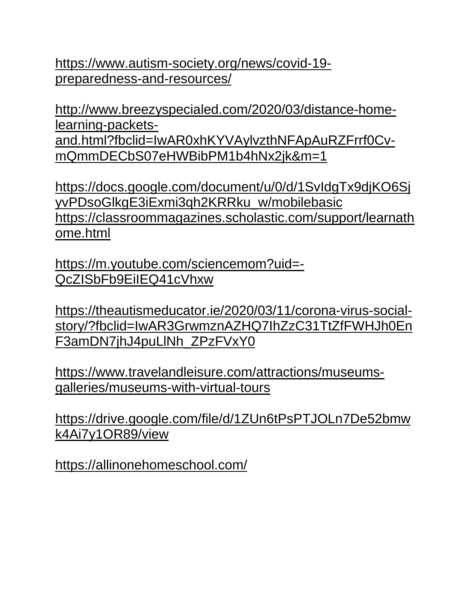[https://www.autism-society.org/news/covid-19](https://www.autism-society.org/news/covid-19-preparedness-and-resources/) [preparedness-and-resources/](https://www.autism-society.org/news/covid-19-preparedness-and-resources/)

[http://www.breezyspecialed.com/2020/03/distance-home](http://www.breezyspecialed.com/2020/03/distance-home-learning-packets-%20and.html?fbclid=IwAR0xhKYVAylvzthNFApAuRZFrrf0Cv-mQmmDECbS07eHWBibPM1b4hNx2jk&m=1)[learning-packets](http://www.breezyspecialed.com/2020/03/distance-home-learning-packets-%20and.html?fbclid=IwAR0xhKYVAylvzthNFApAuRZFrrf0Cv-mQmmDECbS07eHWBibPM1b4hNx2jk&m=1)[and.html?fbclid=IwAR0xhKYVAylvzthNFApAuRZFrrf0Cv](http://www.breezyspecialed.com/2020/03/distance-home-learning-packets-%20and.html?fbclid=IwAR0xhKYVAylvzthNFApAuRZFrrf0Cv-mQmmDECbS07eHWBibPM1b4hNx2jk&m=1)[mQmmDECbS07eHWBibPM1b4hNx2jk&m=1](http://www.breezyspecialed.com/2020/03/distance-home-learning-packets-%20and.html?fbclid=IwAR0xhKYVAylvzthNFApAuRZFrrf0Cv-mQmmDECbS07eHWBibPM1b4hNx2jk&m=1)

[https://docs.google.com/document/u/0/d/1SvIdgTx9djKO6Sj](https://docs.google.com/document/u/0/d/1SvIdgTx9djKO6SjyvPDsoGlkgE3iExmi3qh2KRRku_w/mobilebasic%20https:/classroommagazines.scholastic.com/support/learnathome.html) [yvPDsoGlkgE3iExmi3qh2KRRku\\_w/mobilebasic](https://docs.google.com/document/u/0/d/1SvIdgTx9djKO6SjyvPDsoGlkgE3iExmi3qh2KRRku_w/mobilebasic%20https:/classroommagazines.scholastic.com/support/learnathome.html) [https://classroommagazines.scholastic.com/support/learnath](https://docs.google.com/document/u/0/d/1SvIdgTx9djKO6SjyvPDsoGlkgE3iExmi3qh2KRRku_w/mobilebasic%20https:/classroommagazines.scholastic.com/support/learnathome.html) [ome.html](https://docs.google.com/document/u/0/d/1SvIdgTx9djKO6SjyvPDsoGlkgE3iExmi3qh2KRRku_w/mobilebasic%20https:/classroommagazines.scholastic.com/support/learnathome.html)

[https://m.youtube.com/sciencemom?uid=-](https://m.youtube.com/sciencemom?uid=-QcZISbFb9EiIEQ41cVhxw) [QcZISbFb9EiIEQ41cVhxw](https://m.youtube.com/sciencemom?uid=-QcZISbFb9EiIEQ41cVhxw)

[https://theautismeducator.ie/2020/03/11/corona-virus-social](https://theautismeducator.ie/2020/03/11/corona-virus-social-%20story/?fbclid=IwAR3GrwmznAZHQ7IhZzC31TtZfFWHJh0EnF3amDN7jhJ4puLlNh_ZPzFVxY0)[story/?fbclid=IwAR3GrwmznAZHQ7IhZzC31TtZfFWHJh0En](https://theautismeducator.ie/2020/03/11/corona-virus-social-%20story/?fbclid=IwAR3GrwmznAZHQ7IhZzC31TtZfFWHJh0EnF3amDN7jhJ4puLlNh_ZPzFVxY0) [F3amDN7jhJ4puLlNh\\_ZPzFVxY0](https://theautismeducator.ie/2020/03/11/corona-virus-social-%20story/?fbclid=IwAR3GrwmznAZHQ7IhZzC31TtZfFWHJh0EnF3amDN7jhJ4puLlNh_ZPzFVxY0)

[https://www.travelandleisure.com/attractions/museums](https://www.travelandleisure.com/attractions/museums-galleries/museums-with-virtual-tours)[galleries/museums-with-virtual-tours](https://www.travelandleisure.com/attractions/museums-galleries/museums-with-virtual-tours)

[https://drive.google.com/file/d/1ZUn6tPsPTJOLn7De52bmw](https://drive.google.com/file/d/1ZUn6tPsPTJOLn7De52bmwk4Ai7y1OR89/view) [k4Ai7y1OR89/view](https://drive.google.com/file/d/1ZUn6tPsPTJOLn7De52bmwk4Ai7y1OR89/view)

<https://allinonehomeschool.com/>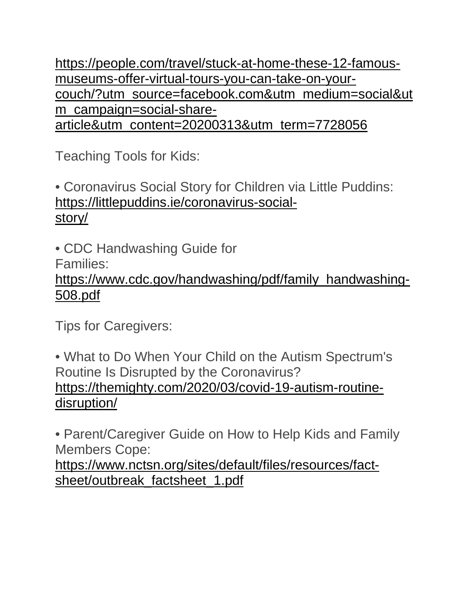[https://people.com/travel/stuck-at-home-these-12-famous](https://people.com/travel/stuck-at-home-these-12-famous-museums-offer-virtual-tours-you-can-take-on-your-%20couch/?utm_source=facebook.com&utm_medium=social&utm_campaign=social-share-%20article&utm_content=20200313&utm_term=7728056)[museums-offer-virtual-tours-you-can-take-on-your](https://people.com/travel/stuck-at-home-these-12-famous-museums-offer-virtual-tours-you-can-take-on-your-%20couch/?utm_source=facebook.com&utm_medium=social&utm_campaign=social-share-%20article&utm_content=20200313&utm_term=7728056)[couch/?utm\\_source=facebook.com&utm\\_medium=social&ut](https://people.com/travel/stuck-at-home-these-12-famous-museums-offer-virtual-tours-you-can-take-on-your-%20couch/?utm_source=facebook.com&utm_medium=social&utm_campaign=social-share-%20article&utm_content=20200313&utm_term=7728056) [m\\_campaign=social-share](https://people.com/travel/stuck-at-home-these-12-famous-museums-offer-virtual-tours-you-can-take-on-your-%20couch/?utm_source=facebook.com&utm_medium=social&utm_campaign=social-share-%20article&utm_content=20200313&utm_term=7728056)[article&utm\\_content=20200313&utm\\_term=7728056](https://people.com/travel/stuck-at-home-these-12-famous-museums-offer-virtual-tours-you-can-take-on-your-%20couch/?utm_source=facebook.com&utm_medium=social&utm_campaign=social-share-%20article&utm_content=20200313&utm_term=7728056)

Teaching Tools for Kids:

• Coronavirus Social Story for Children via Little Puddins: [https://littlepuddins.ie/coronavirus-social](https://littlepuddins.ie/coronavirus-social-)[story/](https://littlepuddins.ie/coronavirus-social-)

• CDC Handwashing Guide for

Families:

[https://www.cdc.gov/handwashing/pdf/family\\_handwashing-](https://www.cdc.gov/handwashing/pdf/family_handwashing-508.pdf)[508.pdf](https://www.cdc.gov/handwashing/pdf/family_handwashing-508.pdf)

Tips for Caregivers:

• What to Do When Your Child on the Autism Spectrum's Routine Is Disrupted by the Coronavirus? [https://themighty.com/2020/03/covid-19-autism-routine](https://themighty.com/2020/03/covid-19-autism-routine-disruption/)[disruption/](https://themighty.com/2020/03/covid-19-autism-routine-disruption/)

• Parent/Caregiver Guide on How to Help Kids and Family Members Cope:

[https://www.nctsn.org/sites/default/files/resources/fact](https://www.nctsn.org/sites/default/files/resources/fact-sheet/outbreak_factsheet_1.pdf)[sheet/outbreak\\_factsheet\\_1.pdf](https://www.nctsn.org/sites/default/files/resources/fact-sheet/outbreak_factsheet_1.pdf)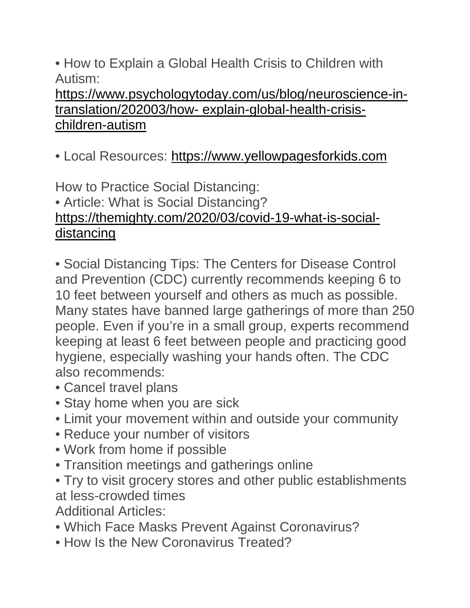• How to Explain a Global Health Crisis to Children with Autism:

[https://www.psychologytoday.com/us/blog/neuroscience-in](https://www.psychologytoday.com/us/blog/neuroscience-in-translation/202003/how-%20explain-global-health-crisis-children-autism)translation/202003/how- [explain-global-health-crisis](https://www.psychologytoday.com/us/blog/neuroscience-in-translation/202003/how-%20explain-global-health-crisis-children-autism)[children-autism](https://www.psychologytoday.com/us/blog/neuroscience-in-translation/202003/how-%20explain-global-health-crisis-children-autism)

• Local Resources: [https://www.yellowpagesforkids.com](https://www.yellowpagesforkids.com/)

How to Practice Social Distancing: • Article: What is Social Distancing? [https://themighty.com/2020/03/covid-19-what-is-social](https://themighty.com/2020/03/covid-19-what-is-social-%20distancing)[distancing](https://themighty.com/2020/03/covid-19-what-is-social-%20distancing)

• Social Distancing Tips: The Centers for Disease Control and Prevention (CDC) currently recommends keeping 6 to 10 feet between yourself and others as much as possible. Many states have banned large gatherings of more than 250 people. Even if you're in a small group, experts recommend keeping at least 6 feet between people and practicing good hygiene, especially washing your hands often. The CDC also recommends:

- Cancel travel plans
- Stay home when you are sick
- Limit your movement within and outside your community
- Reduce your number of visitors
- Work from home if possible
- Transition meetings and gatherings online
- Try to visit grocery stores and other public establishments at less-crowded times
- Additional Articles:
- Which Face Masks Prevent Against Coronavirus?
- How Is the New Coronavirus Treated?